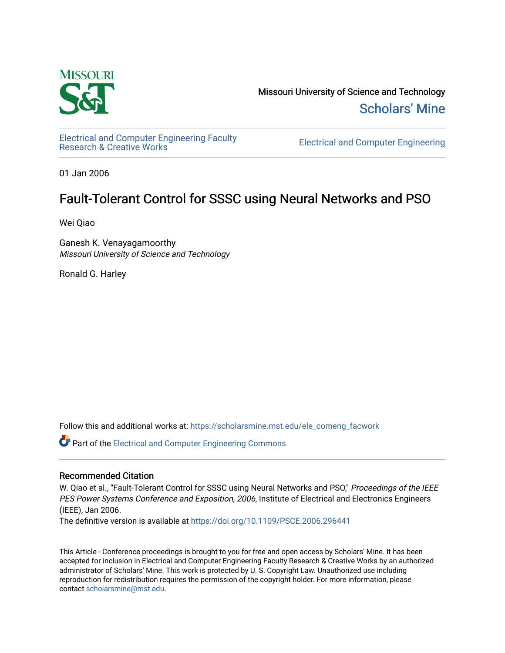

Missouri University of Science and Technology [Scholars' Mine](https://scholarsmine.mst.edu/) 

[Electrical and Computer Engineering Faculty](https://scholarsmine.mst.edu/ele_comeng_facwork)<br>Research & Creative Works

**Electrical and Computer Engineering** 

01 Jan 2006

## Fault-Tolerant Control for SSSC using Neural Networks and PSO

Wei Qiao

Ganesh K. Venayagamoorthy Missouri University of Science and Technology

Ronald G. Harley

Follow this and additional works at: [https://scholarsmine.mst.edu/ele\\_comeng\\_facwork](https://scholarsmine.mst.edu/ele_comeng_facwork?utm_source=scholarsmine.mst.edu%2Fele_comeng_facwork%2F1625&utm_medium=PDF&utm_campaign=PDFCoverPages)

**C** Part of the Electrical and Computer Engineering Commons

### Recommended Citation

W. Qiao et al., "Fault-Tolerant Control for SSSC using Neural Networks and PSO," Proceedings of the IEEE PES Power Systems Conference and Exposition, 2006, Institute of Electrical and Electronics Engineers (IEEE), Jan 2006.

The definitive version is available at <https://doi.org/10.1109/PSCE.2006.296441>

This Article - Conference proceedings is brought to you for free and open access by Scholars' Mine. It has been accepted for inclusion in Electrical and Computer Engineering Faculty Research & Creative Works by an authorized administrator of Scholars' Mine. This work is protected by U. S. Copyright Law. Unauthorized use including reproduction for redistribution requires the permission of the copyright holder. For more information, please contact [scholarsmine@mst.edu](mailto:scholarsmine@mst.edu).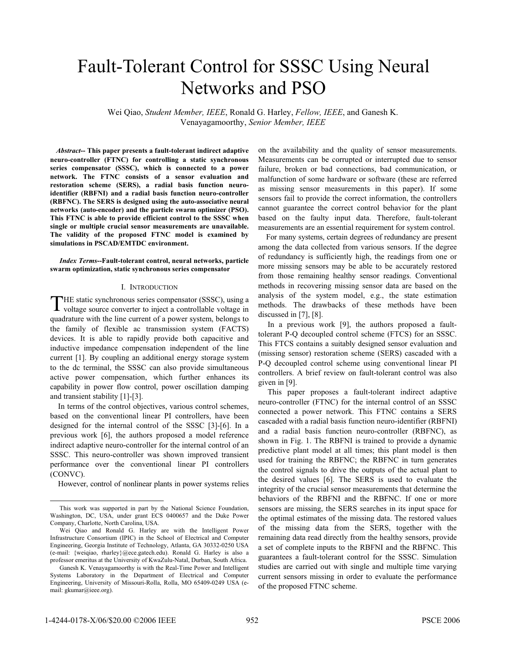# Fault-Tolerant Control for SSSC Using Neural Networks and PSO

Wei Qiao, *Student Member, IEEE*, Ronald G. Harley, *Fellow, IEEE*, and Ganesh K. Venayagamoorthy, *Senior Member, IEEE*

*Abstract***-- This paper presents a fault-tolerant indirect adaptive neuro-controller (FTNC) for controlling a static synchronous series compensator (SSSC), which is connected to a power network. The FTNC consists of a sensor evaluation and restoration scheme (SERS), a radial basis function neuroidentifier (RBFNI) and a radial basis function neuro-controller (RBFNC). The SERS is designed using the auto-associative neural networks (auto-encoder) and the particle swarm optimizer (PSO). This FTNC is able to provide efficient control to the SSSC when single or multiple crucial sensor measurements are unavailable. The validity of the proposed FTNC model is examined by simulations in PSCAD/EMTDC environment.** 

*Index Terms***--Fault-tolerant control, neural networks, particle swarm optimization, static synchronous series compensator** 

#### I. INTRODUCTION

THE static synchronous series compensator (SSSC), using a THE static synchronous series compensator (SSSC), using a voltage source converter to inject a controllable voltage in quadrature with the line current of a power system, belongs to the family of flexible ac transmission system (FACTS) devices. It is able to rapidly provide both capacitive and inductive impedance compensation independent of the line current [1]. By coupling an additional energy storage system to the dc terminal, the SSSC can also provide simultaneous active power compensation, which further enhances its capability in power flow control, power oscillation damping and transient stability [1]-[3].

In terms of the control objectives, various control schemes, based on the conventional linear PI controllers, have been designed for the internal control of the SSSC [3]-[6]. In a previous work [6], the authors proposed a model reference indirect adaptive neuro-controller for the internal control of an SSSC. This neuro-controller was shown improved transient performance over the conventional linear PI controllers (CONVC).

However, control of nonlinear plants in power systems relies

on the availability and the quality of sensor measurements. Measurements can be corrupted or interrupted due to sensor failure, broken or bad connections, bad communication, or malfunction of some hardware or software (these are referred as missing sensor measurements in this paper). If some sensors fail to provide the correct information, the controllers cannot guarantee the correct control behavior for the plant based on the faulty input data. Therefore, fault-tolerant measurements are an essential requirement for system control.

For many systems, certain degrees of redundancy are present among the data collected from various sensors. If the degree of redundancy is sufficiently high, the readings from one or more missing sensors may be able to be accurately restored from those remaining healthy sensor readings. Conventional methods in recovering missing sensor data are based on the analysis of the system model, e.g., the state estimation methods. The drawbacks of these methods have been discussed in [7], [8].

In a previous work [9], the authors proposed a faulttolerant P-Q decoupled control scheme (FTCS) for an SSSC. This FTCS contains a suitably designed sensor evaluation and (missing sensor) restoration scheme (SERS) cascaded with a P-Q decoupled control scheme using conventional linear PI controllers. A brief review on fault-tolerant control was also given in [9].

This paper proposes a fault-tolerant indirect adaptive neuro-controller (FTNC) for the internal control of an SSSC connected a power network. This FTNC contains a SERS cascaded with a radial basis function neuro-identifier (RBFNI) and a radial basis function neuro-controller (RBFNC), as shown in Fig. 1. The RBFNI is trained to provide a dynamic predictive plant model at all times; this plant model is then used for training the RBFNC; the RBFNC in turn generates the control signals to drive the outputs of the actual plant to the desired values [6]. The SERS is used to evaluate the integrity of the crucial sensor measurements that determine the behaviors of the RBFNI and the RBFNC. If one or more sensors are missing, the SERS searches in its input space for the optimal estimates of the missing data. The restored values of the missing data from the SERS, together with the remaining data read directly from the healthy sensors, provide a set of complete inputs to the RBFNI and the RBFNC. This guarantees a fault-tolerant control for the SSSC. Simulation studies are carried out with single and multiple time varying current sensors missing in order to evaluate the performance of the proposed FTNC scheme.

This work was supported in part by the National Science Foundation, Washington, DC, USA, under grant ECS 0400657 and the Duke Power Company, Charlotte, North Carolina, USA.

Wei Qiao and Ronald G. Harley are with the Intelligent Power Infrastructure Consortium (IPIC) in the School of Electrical and Computer Engineering, Georgia Institute of Technology, Atlanta, GA 30332-0250 USA (e-mail: {weiqiao, rharley}@ece.gatech.edu). Ronald G. Harley is also a professor emeritus at the University of KwaZulu-Natal, Durban, South Africa.

Ganesh K. Venayagamoorthy is with the Real-Time Power and Intelligent Systems Laboratory in the Department of Electrical and Computer Engineering, University of Missouri-Rolla, Rolla, MO 65409-0249 USA (email: gkumar@ieee.org).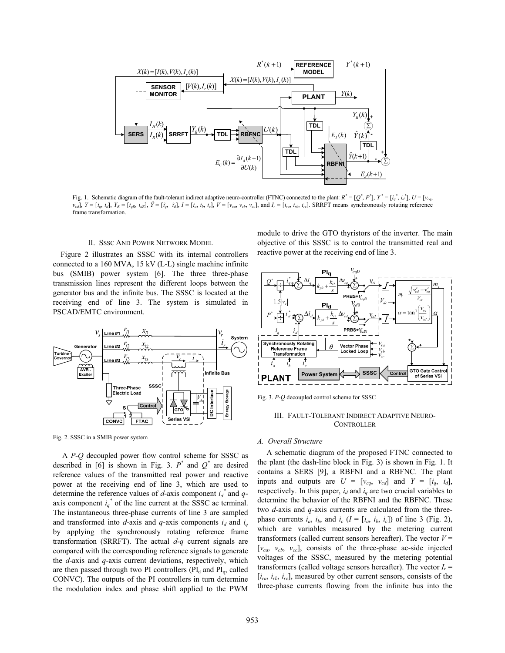

Fig. 1. Schematic diagram of the fault-tolerant indirect adaptive neuro-controller (FTNC) connected to the plant:  $R^* = [Q^*, P^*], Y^* = [i_q^*, i_d^*], U = [v_{eq}, v_{eq}]$  $v_{cd}$ ],  $Y = [i_q, i_d]$ ,  $Y_R = [i_{qR}, i_{dR}]$ ,  $\hat{Y} = [\hat{i}_q, \hat{i}_d]$ ,  $I = [i_a, i_b, i_c]$ ,  $V = [v_{ca}, v_{cb}, v_{cc}]$ , and  $I_r = [i_{ra}, i_{rb}, i_{rc}]$ . SRRFT means synchronously rotating reference frame transformation.

#### II. SSSC AND POWER NETWORK MODEL

Figure 2 illustrates an SSSC with its internal controllers connected to a 160 MVA, 15 kV (L-L) single machine infinite bus (SMIB) power system [6]. The three three-phase transmission lines represent the different loops between the generator bus and the infinite bus. The SSSC is located at the receiving end of line 3. The system is simulated in PSCAD/EMTC environment.



÷ 2 ¦  $2^+$ ∑ *p s* PRBS+ $\overline{V_{cgS}}$ 

reactive power at the receiving end of line 3.



module to drive the GTO thyristors of the inverter. The main objective of this SSSC is to control the transmitted real and

Fig. 3. *P*-*Q* decoupled control scheme for SSSC

#### III. FAULT-TOLERANT INDIRECT ADAPTIVE NEURO-**CONTROLLER**

#### *A. Overall Structure*

A schematic diagram of the proposed FTNC connected to the plant (the dash-line block in Fig. 3) is shown in Fig. 1. It contains a SERS [9], a RBFNI and a RBFNC. The plant inputs and outputs are  $U = [v_{cq}, v_{cd}]$  and  $Y = [i_q, i_d]$ , respectively. In this paper,  $i_d$  and  $i_q$  are two crucial variables to determine the behavior of the RBFNI and the RBFNC. These two *d*-axis and *q*-axis currents are calculated from the threephase currents  $i_a$ ,  $i_b$ , and  $i_c$  ( $I = [i_a, i_b, i_c]$ ) of line 3 (Fig. 2), which are variables measured by the metering current transformers (called current sensors hereafter). The vector  $V =$  $[v_{ca}, v_{cb}, v_{cc}]$ , consists of the three-phase ac-side injected voltages of the SSSC, measured by the metering potential transformers (called voltage sensors hereafter). The vector  $I_r$  =  $[i_{ra}, i_{rb}, i_{rc}]$ , measured by other current sensors, consists of the three-phase currents flowing from the infinite bus into the

Fig. 2. SSSC in a SMIB power system

A *P*-*Q* decoupled power flow control scheme for SSSC as described in [6] is shown in Fig. 3.  $P^*$  and  $Q^*$  are desired reference values of the transmitted real power and reactive power at the receiving end of line 3, which are used to determine the reference values of  $d$ -axis component  $i_d^*$  and  $q$ axis component  $i_q^*$  of the line current at the SSSC ac terminal. The instantaneous three-phase currents of line 3 are sampled and transformed into  $d$ -axis and  $q$ -axis components  $i_d$  and  $i_q$ by applying the synchronously rotating reference frame transformation (SRRFT). The actual *d*-*q* current signals are compared with the corresponding reference signals to generate the *d*-axis and *q*-axis current deviations, respectively, which are then passed through two PI controllers ( $PI<sub>d</sub>$  and  $PI<sub>q</sub>$ , called CONVC). The outputs of the PI controllers in turn determine the modulation index and phase shift applied to the PWM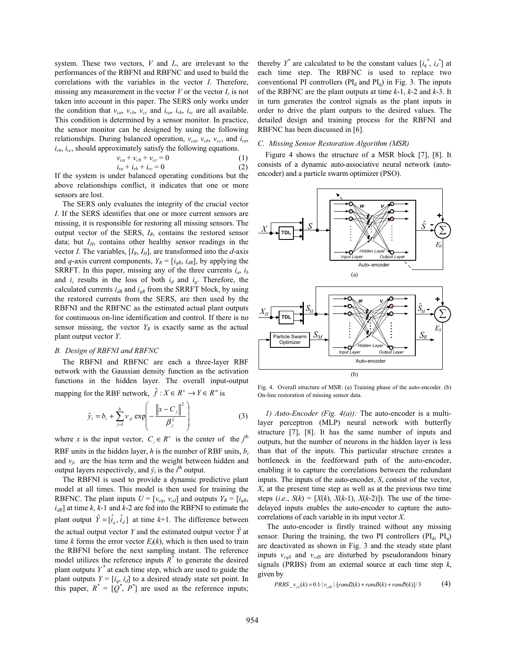system. These two vectors, *V* and *Ir*, are irrelevant to the performances of the RBFNI and RBFNC and used to build the correlations with the variables in the vector *I*. Therefore, missing any measurement in the vector  $V$  or the vector  $I_r$  is not taken into account in this paper. The SERS only works under the condition that  $v_{ca}$ ,  $v_{cb}$ ,  $v_{cc}$  and  $i_{ra}$ ,  $i_{rb}$ ,  $i_{rc}$  are all available. This condition is determined by a sensor monitor. In practice, the sensor monitor can be designed by using the following relationships. During balanced operation, *vca*, *vcb*, *vcc*, and *ira*, *irb*, *irc*, should approximately satisfy the following equations.

$$
v_{ca} + v_{cb} + v_{cc} = 0
$$
  
\n
$$
i_{ra} + i_{rb} + i_{rc} = 0
$$
 (1)

If the system is under balanced operating conditions but the above relationships conflict, it indicates that one or more sensors are lost.

The SERS only evaluates the integrity of the crucial vector *I*. If the SERS identifies that one or more current sensors are missing, it is responsible for restoring all missing sensors. The output vector of the SERS, *IR*, contains the restored sensor data; but  $I_H$ , contains other healthy sensor readings in the vector *I*. The variables,  $[I_R, I_H]$ , are transformed into the *d*-axis and *q*-axis current components,  $Y_R = [i_{qR}, i_{dR}]$ , by applying the SRRFT. In this paper, missing any of the three currents *ia*, *ib* and  $i_c$  results in the loss of both  $i_d$  and  $i_q$ . Therefore, the calculated currents  $i_{dR}$  and  $i_{qR}$  from the SRRFT block, by using the restored currents from the SERS, are then used by the RBFNI and the RBFNC as the estimated actual plant outputs for continuous on-line identification and control. If there is no sensor missing, the vector  $Y_R$  is exactly same as the actual plant output vector *Y*.

#### *B. Design of RBFNI and RBFNC*

The RBFNI and RBFNC are each a three-layer RBF network with the Gaussian density function as the activation functions in the hidden layer. The overall input-output mapping for the RBF network,  $\hat{f}$ :  $X \in R^n \to Y \in R^m$  is

$$
\hat{y}_i = b_i + \sum_{j=1}^h v_{ji} \exp\left(-\frac{\left\|x - C_j\right\|^2}{\beta_j^2}\right)
$$
 (3)

where *x* is the input vector,  $C_j \in R^n$  is the center of the *j*<sup>th</sup> RBF units in the hidden layer, *h* is the number of RBF units, *bi* and  $v_{ij}$  are the bias term and the weight between hidden and output layers respectively, and  $\hat{y}_i$  is the  $i^{\text{th}}$  output.

 The RBFNI is used to provide a dynamic predictive plant model at all times. This model is then used for training the RBFNC. The plant inputs  $U = [v_{cq}, v_{cd}]$  and outputs  $Y_R = [i_{qR},$  $i_{dR}$ ] at time  $k$ ,  $k$ -1 and  $k$ -2 are fed into the RBFNI to estimate the plant output  $\hat{Y} = [\hat{i}_a, \hat{i}_d]$  at time  $k+1$ . The difference between the actual output vector *Y* and the estimated output vector  $\hat{Y}$  at time *k* forms the error vector  $E_1(k)$ , which is then used to train the RBFNI before the next sampling instant. The reference model utilizes the reference inputs  $R^*$  to generate the desired plant outputs *Y \** at each time step, which are used to guide the plant outputs  $Y = [i_q, i_d]$  to a desired steady state set point. In this paper,  $R^* = [Q^*, P^*]$  are used as the reference inputs;

thereby  $Y^*$  are calculated to be the constant values  $[i_q^*, i_d^*]$  at each time step. The RBFNC is used to replace two conventional PI controllers ( $PI<sub>d</sub>$  and  $PI<sub>q</sub>$ ) in Fig. 3. The inputs of the RBFNC are the plant outputs at time *k*-1, *k*-2 and *k*-3. It in turn generates the control signals as the plant inputs in order to drive the plant outputs to the desired values. The detailed design and training process for the RBFNI and RBFNC has been discussed in [6].

#### *C. Missing Sensor Restoration Algorithm (MSR)*

Figure 4 shows the structure of a MSR block [7], [8]. It consists of a dynamic auto-associative neural network (autoencoder) and a particle swarm optimizer (PSO).



Fig. 4. Overall structure of MSR: (a) Training phase of the auto-encoder. (b) On-line restoration of missing sensor data.

*1) Auto-Encoder (Fig. 4(a)):* The auto-encoder is a multilayer perceptron (MLP) neural network with butterfly structure [7], [8]. It has the same number of inputs and outputs, but the number of neurons in the hidden layer is less than that of the inputs. This particular structure creates a bottleneck in the feedforward path of the auto-encoder, enabling it to capture the correlations between the redundant inputs. The inputs of the auto-encoder, *S*, consist of the vector, *X*, at the present time step as well as at the previous two time steps (*i.e.*,  $S(k) = [X(k), X(k-1), X(k-2)]$ ). The use of the timedelayed inputs enables the auto-encoder to capture the autocorrelations of each variable in its input vector *X*.

The auto-encoder is firstly trained without any missing sensor. During the training, the two PI controllers  $(PI_d, PI_q)$ are deactivated as shown in Fig. 3 and the steady state plant inputs  $v_{cgS}$  and  $v_{cdS}$  are disturbed by pseudorandom binary signals (PRBS) from an external source at each time step *k*, given by

$$
PRBS_{v_{cd}}(k) = 0.1 \cdot |v_{cds}| \cdot [rand2(k) + rand5(k) + rand5(k)]/3
$$
 (4)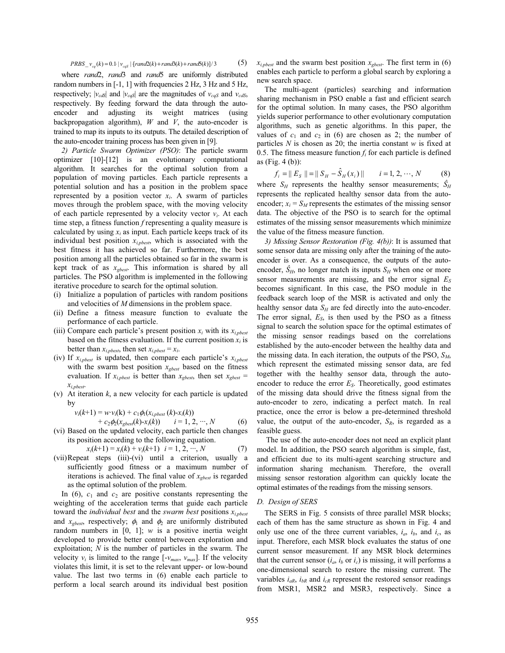$$
PRBS_{v_{eq}}(k) = 0.1 \mid v_{eqs} \mid \{ rand2(k) + rand3(k) + rand5(k) \} / 3
$$
 (5)

where *rand*2, *rand*3 and *rand*5 are uniformly distributed random numbers in [-1, 1] with frequencies 2 Hz, 3 Hz and 5 Hz, respectively;  $|v_{cdS}|$  and  $|v_{cgS}|$  are the magnitudes of  $v_{cgS}$  and  $v_{cdS}$ , respectively. By feeding forward the data through the autoencoder and adjusting its weight matrices (using backpropagation algorithm), *W* and *V*, the auto-encoder is trained to map its inputs to its outputs. The detailed description of the auto-encoder training process has been given in [9].

*2) Particle Swarm Optimizer (PSO)*: The particle swarm optimizer [10]-[12] is an evolutionary computational algorithm. It searches for the optimal solution from a population of moving particles. Each particle represents a potential solution and has a position in the problem space represented by a position vector  $x_i$ . A swarm of particles moves through the problem space, with the moving velocity of each particle represented by a velocity vector  $v_i$ . At each time step, a fitness function *f* representing a quality measure is calculated by using  $x_i$  as input. Each particle keeps track of its individual best position *xi,pbest*, which is associated with the best fitness it has achieved so far. Furthermore, the best position among all the particles obtained so far in the swarm is kept track of as *xgbest*. This information is shared by all particles. The PSO algorithm is implemented in the following iterative procedure to search for the optimal solution.

- (i) Initialize a population of particles with random positions and velocities of *M* dimensions in the problem space.
- (ii) Define a fitness measure function to evaluate the performance of each particle.
- (iii) Compare each particle's present position  $x_i$  with its  $x_{i, pbest}$ based on the fitness evaluation. If the current position  $x_i$  is better than  $x_{i, pbest}$ , then set  $x_{i, pbest} = x_i$ .
- (iv) If *xi,pbest* is updated, then compare each particle's *xi,pbest* with the swarm best position *xgbest* based on the fitness evaluation. If  $x_{i, pbest}$  is better than  $x_{gbest}$ , then set  $x_{gbest}$  = *xi,pbest*.
- (v) At iteration *k*, a new velocity for each particle is updated by

 $v_i(k+1) = w \cdot v_i(k) + c_1 \phi_1(x_{i, pbest}(k) - x_i(k))$ 

 $+ c_2 \phi_2(x_{\text{gbesf}}(k) - x_i(k))$   $i = 1, 2, \cdots, N$  (6) (vi) Based on the updated velocity, each particle then changes its position according to the following equation.

$$
x_i(k+1) = x_i(k) + v_i(k+1) \quad i = 1, 2, \cdots, N \tag{7}
$$

(vii) Repeat steps (iii)-(vi) until a criterion, usually a sufficiently good fitness or a maximum number of iterations is achieved. The final value of *xgbest* is regarded as the optimal solution of the problem.

In  $(6)$ ,  $c_1$  and  $c_2$  are positive constants representing the weighting of the acceleration terms that guide each particle toward the *individual best* and the *swarm best* positions *xi,pbest* and  $x_{gbest}$ , respectively;  $\phi_1$  and  $\phi_2$  are uniformly distributed random numbers in  $[0, 1]$ ; *w* is a positive inertia weight developed to provide better control between exploration and exploitation; *N* is the number of particles in the swarm. The velocity  $v_i$  is limited to the range  $[-v_{max}, v_{max}]$ . If the velocity violates this limit, it is set to the relevant upper- or low-bound value. The last two terms in (6) enable each particle to perform a local search around its individual best position

 $x_{i, pbest}$  and the swarm best position  $x_{ebest}$ . The first term in (6) enables each particle to perform a global search by exploring a new search space.

The multi-agent (particles) searching and information sharing mechanism in PSO enable a fast and efficient search for the optimal solution. In many cases, the PSO algorithm yields superior performance to other evolutionary computation algorithms, such as genetic algorithms. In this paper, the values of  $c_1$  and  $c_2$  in (6) are chosen as 2; the number of particles *N* is chosen as 20; the inertia constant *w* is fixed at 0.5. The fitness measure function  $f_i$  for each particle is defined as (Fig. 4 (b)):

$$
f_i = || E_S || = || S_H - \hat{S}_H(x_i) || \qquad i = 1, 2, \cdots, N
$$
 (8)

where  $S_H$  represents the healthy sensor measurements;  $\hat{S}_H$ represents the replicated healthy sensor data from the autoencoder;  $x_i = S_M$  represents the estimates of the missing sensor data. The objective of the PSO is to search for the optimal estimates of the missing sensor measurements which minimize the value of the fitness measure function.

*3) Missing Sensor Restoration (Fig. 4(b))*: It is assumed that some sensor data are missing only after the training of the autoencoder is over. As a consequence, the outputs of the autoencoder,  $\hat{S}_H$ , no longer match its inputs  $S_H$  when one or more sensor measurements are missing, and the error signal  $E<sub>S</sub>$ becomes significant. In this case, the PSO module in the feedback search loop of the MSR is activated and only the healthy sensor data  $S_H$  are fed directly into the auto-encoder. The error signal, *ES*, is then used by the PSO as a fitness signal to search the solution space for the optimal estimates of the missing sensor readings based on the correlations established by the auto-encoder between the healthy data and the missing data. In each iteration, the outputs of the PSO,  $S_M$ , which represent the estimated missing sensor data, are fed together with the healthy sensor data, through the autoencoder to reduce the error  $E<sub>S</sub>$ . Theoretically, good estimates of the missing data should drive the fitness signal from the auto-encoder to zero, indicating a perfect match. In real practice, once the error is below a pre-determined threshold value, the output of the auto-encoder,  $S_R$ , is regarded as a feasible guess.

The use of the auto-encoder does not need an explicit plant model. In addition, the PSO search algorithm is simple, fast, and efficient due to its multi-agent searching structure and information sharing mechanism. Therefore, the overall missing sensor restoration algorithm can quickly locate the optimal estimates of the readings from the missing sensors.

#### *D. Design of SERS*

The SERS in Fig. 5 consists of three parallel MSR blocks; each of them has the same structure as shown in Fig. 4 and only use one of the three current variables,  $i_a$ ,  $i_b$ , and  $i_c$ , as input. Therefore, each MSR block evaluates the status of one current sensor measurement. If any MSR block determines that the current sensor  $(i_a, i_b \text{ or } i_c)$  is missing, it will performs a one-dimensional search to restore the missing current. The variables  $i_{aR}$ ,  $i_{bR}$  and  $i_{cR}$  represent the restored sensor readings from MSR1, MSR2 and MSR3, respectively. Since a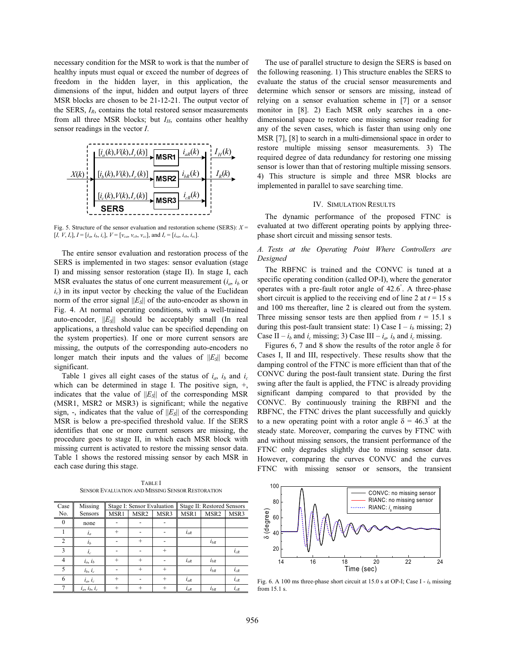necessary condition for the MSR to work is that the number of healthy inputs must equal or exceed the number of degrees of freedom in the hidden layer, in this application, the dimensions of the input, hidden and output layers of three MSR blocks are chosen to be 21-12-21. The output vector of the SERS, *IR*, contains the total restored sensor measurements from all three MSR blocks; but  $I_H$ , contains other healthy sensor readings in the vector *I*.



Fig. 5. Structure of the sensor evaluation and restoration scheme (SERS): *X* =  $[I, V, I_r], I = [i_a, i_b, i_c], V = [v_{ca}, v_{cb}, v_{cc}],$  and  $I_r = [i_{ra}, i_{rb}, i_{rc}].$ 

The entire sensor evaluation and restoration process of the SERS is implemented in two stages: sensor evaluation (stage I) and missing sensor restoration (stage II). In stage I, each MSR evaluates the status of one current measurement  $(i_a, i_b)$  or  $i_c$ ) in its input vector by checking the value of the Euclidean norm of the error signal  $||E_{S}||$  of the auto-encoder as shown in Fig. 4. At normal operating conditions, with a well-trained auto-encoder,  $||E_S||$  should be acceptably small (In real applications, a threshold value can be specified depending on the system properties). If one or more current sensors are missing, the outputs of the corresponding auto-encoders no longer match their inputs and the values of  $||E_S||$  become significant.

Table 1 gives all eight cases of the status of  $i_a$ ,  $i_b$  and  $i_c$ which can be determined in stage I. The positive sign, +, indicates that the value of  $||E_S||$  of the corresponding MSR (MSR1, MSR2 or MSR3) is significant; while the negative sign,  $-$ , indicates that the value of  $||E_S||$  of the corresponding MSR is below a pre-specified threshold value. If the SERS identifies that one or more current sensors are missing, the procedure goes to stage II, in which each MSR block with missing current is activated to restore the missing sensor data. Table 1 shows the restored missing sensor by each MSR in each case during this stage.

TABLE I SENSOR EVALUATION AND MISSING SENSOR RESTORATION

| Case           | Missing               | Stage I: Sensor Evaluation |                  |           | Stage II: Restored Sensors |                  |          |
|----------------|-----------------------|----------------------------|------------------|-----------|----------------------------|------------------|----------|
| No.            | Sensors               | MSR1                       | MSR <sub>2</sub> | MSR3      | MSR1                       | MSR <sub>2</sub> | MSR3     |
| $\Omega$       | none                  |                            |                  |           |                            |                  |          |
|                | $i_a$                 | $^{+}$                     |                  |           | $i_{aR}$                   |                  |          |
| 2              | $i_b$                 |                            | $^{+}$           |           |                            | $i_{bR}$         |          |
| 3              | $i_c$                 |                            |                  | $^{+}$    |                            |                  | $i_{cR}$ |
| $\overline{4}$ | $i_a, i_b$            | $^{+}$                     | $^{+}$           |           | $i_{aR}$                   | $i_{bR}$         |          |
| 5              | $i_b$ , $i_c$         |                            | $^{+}$           | $+$       |                            | $i_{bR}$         | $i_{cR}$ |
| 6              | $i_a, i_c$            | $^{+}$                     |                  | $\ddot{}$ | $i_{aR}$                   |                  | $i_{cR}$ |
|                | $i_a$ , $i_b$ , $i_c$ | $^{+}$                     |                  | $^{+}$    | $i_{aR}$                   | $i_{bR}$         | $i_{cR}$ |

The use of parallel structure to design the SERS is based on the following reasoning. 1) This structure enables the SERS to evaluate the status of the crucial sensor measurements and determine which sensor or sensors are missing, instead of relying on a sensor evaluation scheme in [7] or a sensor monitor in [8]. 2) Each MSR only searches in a onedimensional space to restore one missing sensor reading for any of the seven cases, which is faster than using only one MSR [7], [8] to search in a multi-dimensional space in order to restore multiple missing sensor measurements. 3) The required degree of data redundancy for restoring one missing sensor is lower than that of restoring multiple missing sensors. 4) This structure is simple and three MSR blocks are implemented in parallel to save searching time.

#### IV. SIMULATION RESULTS

The dynamic performance of the proposed FTNC is evaluated at two different operating points by applying threephase short circuit and missing sensor tests.

#### *A. Tests at the Operating Point Where Controllers are Designed*

The RBFNC is trained and the CONVC is tuned at a specific operating condition (called OP-I), where the generator operates with a pre-fault rotor angle of 42.6° . A three-phase short circuit is applied to the receiving end of line 2 at  $t = 15$  s and 100 ms thereafter, line 2 is cleared out from the system. Three missing sensor tests are then applied from  $t = 15.1$  s during this post-fault transient state: 1) Case  $I - i<sub>b</sub>$  missing; 2) Case II –  $i_b$  and  $i_c$  missing; 3) Case III –  $i_a$ ,  $i_b$  and  $i_c$  missing.

Figures 6, 7 and 8 show the results of the rotor angle  $\delta$  for Cases I, II and III, respectively. These results show that the damping control of the FTNC is more efficient than that of the CONVC during the post-fault transient state. During the first swing after the fault is applied, the FTNC is already providing significant damping compared to that provided by the CONVC. By continuously training the RBFNI and the RBFNC, the FTNC drives the plant successfully and quickly to a new operating point with a rotor angle  $\delta = 46.3^{\circ}$  at the steady state. Moreover, comparing the curves by FTNC with and without missing sensors, the transient performance of the FTNC only degrades slightly due to missing sensor data. However, comparing the curves CONVC and the curves FTNC with missing sensor or sensors, the transient



Fig. 6. A 100 ms three-phase short circuit at 15.0 s at OP-I; Case I - *ib* missing from 15.1 s.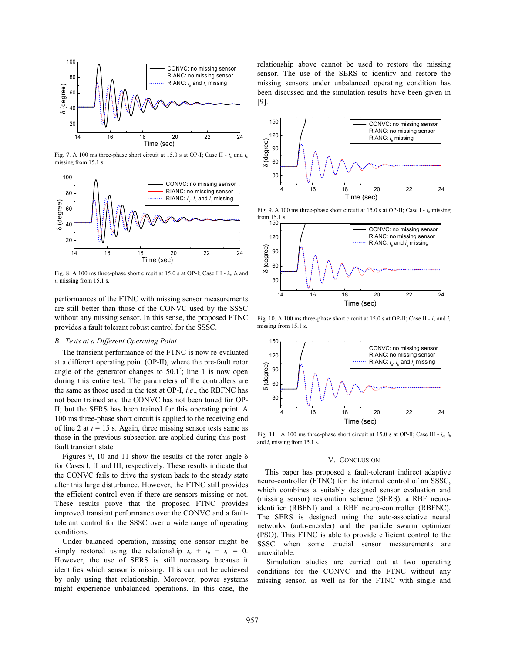

Fig. 7. A 100 ms three-phase short circuit at 15.0 s at OP-I; Case II - *ib* and *ic* missing from 15.1 s.



Fig. 8. A 100 ms three-phase short circuit at 15.0 s at OP-I; Case III - *ia*, *ib* and *ic* missing from 15.1 s.

performances of the FTNC with missing sensor measurements are still better than those of the CONVC used by the SSSC without any missing sensor. In this sense, the proposed FTNC provides a fault tolerant robust control for the SSSC.

#### *B. Tests at a Different Operating Point*

The transient performance of the FTNC is now re-evaluated at a different operating point (OP-II), where the pre-fault rotor angle of the generator changes to  $50.1^{\degree}$ ; line 1 is now open during this entire test. The parameters of the controllers are the same as those used in the test at OP-I, *i*.*e*., the RBFNC has not been trained and the CONVC has not been tuned for OP-II; but the SERS has been trained for this operating point. A 100 ms three-phase short circuit is applied to the receiving end of line 2 at  $t = 15$  s. Again, three missing sensor tests same as those in the previous subsection are applied during this postfault transient state.

Figures 9, 10 and 11 show the results of the rotor angle  $\delta$ for Cases I, II and III, respectively. These results indicate that the CONVC fails to drive the system back to the steady state after this large disturbance. However, the FTNC still provides the efficient control even if there are sensors missing or not. These results prove that the proposed FTNC provides improved transient performance over the CONVC and a faulttolerant control for the SSSC over a wide range of operating conditions.

Under balanced operation, missing one sensor might be simply restored using the relationship  $i_a + i_b + i_c = 0$ . However, the use of SERS is still necessary because it identifies which sensor is missing. This can not be achieved by only using that relationship. Moreover, power systems might experience unbalanced operations. In this case, the

relationship above cannot be used to restore the missing sensor. The use of the SERS to identify and restore the missing sensors under unbalanced operating condition has been discussed and the simulation results have been given in [9].



Fig. 9. A 100 ms three-phase short circuit at 15.0 s at OP-II; Case I -  $i<sub>b</sub>$  missing from 15.1 s.



Fig. 10. A 100 ms three-phase short circuit at 15.0 s at OP-II; Case II - *ib* and *ic* missing from 15.1 s.



Fig. 11. A 100 ms three-phase short circuit at 15.0 s at OP-II; Case III -  $i_a$ ,  $i_b$ and *ic* missing from 15.1 s.

#### V. CONCLUSION

This paper has proposed a fault-tolerant indirect adaptive neuro-controller (FTNC) for the internal control of an SSSC, which combines a suitably designed sensor evaluation and (missing sensor) restoration scheme (SERS), a RBF neuroidentifier (RBFNI) and a RBF neuro-contrroller (RBFNC). The SERS is designed using the auto-associative neural networks (auto-encoder) and the particle swarm optimizer (PSO). This FTNC is able to provide efficient control to the SSSC when some crucial sensor measurements are unavailable.

Simulation studies are carried out at two operating conditions for the CONVC and the FTNC without any missing sensor, as well as for the FTNC with single and